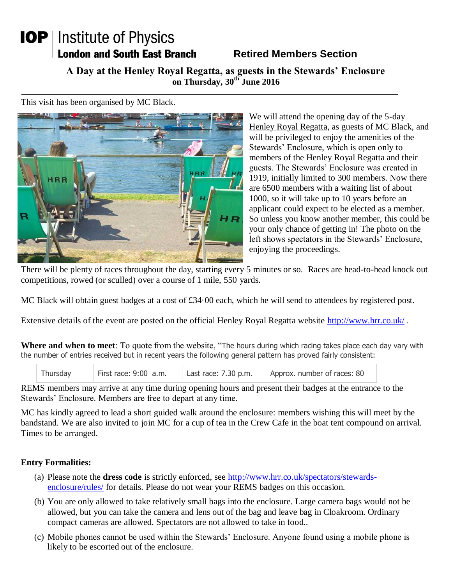## **IOP** | Institute of Physics **London and South East Branch**

## **Retired Members Section**

**A Day at the Henley Royal Regatta, as guests in the Stewards' Enclosure on Thursday, 30th June 2016**

This visit has been organised by MC Black.



We will attend the opening day of the 5-day Henley Royal Regatta, as guests of MC Black, and will be privileged to enjoy the amenities of the Stewards' Enclosure, which is open only to members of the Henley Royal Regatta and their guests. The Stewards' Enclosure was created in 1919, initially limited to 300 members. Now there are 6500 members with a waiting list of about 1000, so it will take up to 10 years before an applicant could expect to be elected as a member. So unless you know another member, this could be your only chance of getting in! The photo on the left shows spectators in the Stewards' Enclosure, enjoying the proceedings.

There will be plenty of races throughout the day, starting every 5 minutes or so. Races are head-to-head knock out competitions, rowed (or sculled) over a course of 1 mile, 550 yards.

MC Black will obtain guest badges at a cost of £34.00 each, which he will send to attendees by registered post.

Extensive details of the event are posted on the official Henley Royal Regatta website<http://www.hrr.co.uk/>.

**Where and when to meet**: To quote from the website, "The hours during which racing takes place each day vary with the number of entries received but in recent years the following general pattern has proved fairly consistent:

| Thursday | First race: 9:00 a.m. | Last race: $7.30$ p.m. | Approx. number of races: 80 |
|----------|-----------------------|------------------------|-----------------------------|
|          |                       |                        |                             |

REMS members may arrive at any time during opening hours and present their badges at the entrance to the Stewards' Enclosure. Members are free to depart at any time.

MC has kindly agreed to lead a short guided walk around the enclosure: members wishing this will meet by the bandstand. We are also invited to join MC for a cup of tea in the Crew Cafe in the boat tent compound on arrival. Times to be arranged.

## **Entry Formalities:**

- (a) Please note the **dress code** is strictly enforced, see [http://www.hrr.co.uk/spectators/stewards](http://www.hrr.co.uk/spectators/stewards-enclosure/rules/)[enclosure/rules/](http://www.hrr.co.uk/spectators/stewards-enclosure/rules/) for details. Please do not wear your REMS badges on this occasion.
- (b) You are only allowed to take relatively small bags into the enclosure. Large camera bags would not be allowed, but you can take the camera and lens out of the bag and leave bag in Cloakroom. Ordinary compact cameras are allowed. Spectators are not allowed to take in food..
- (c) Mobile phones cannot be used within the Stewards' Enclosure. Anyone found using a mobile phone is likely to be escorted out of the enclosure.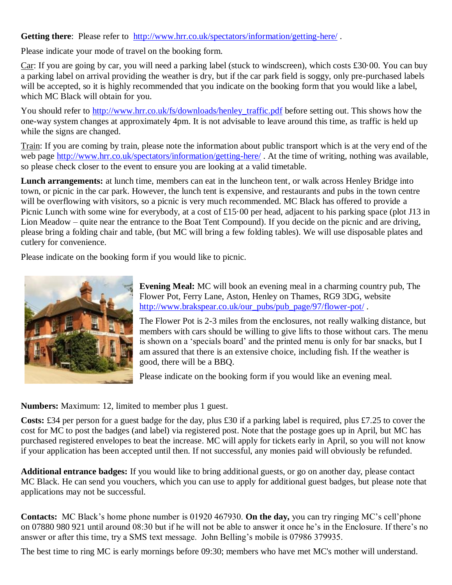Getting there: Please refer to <http://www.hrr.co.uk/spectators/information/getting-here/>.

Please indicate your mode of travel on the booking form.

Car: If you are going by car, you will need a parking label (stuck to windscreen), which costs £30·00. You can buy a parking label on arrival providing the weather is dry, but if the car park field is soggy, only pre-purchased labels will be accepted, so it is highly recommended that you indicate on the booking form that you would like a label, which MC Black will obtain for you.

You should refer to [http://www.hrr.co.uk/fs/downloads/henley\\_traffic.pdf](http://www.hrr.co.uk/fs/downloads/henley_traffic.pdf) before setting out. This shows how the one-way system changes at approximately 4pm. It is not advisable to leave around this time, as traffic is held up while the signs are changed.

Train: If you are coming by train, please note the information about public transport which is at the very end of the web page<http://www.hrr.co.uk/spectators/information/getting-here/>. At the time of writing, nothing was available, so please check closer to the event to ensure you are looking at a valid timetable.

**Lunch arrangements:** at lunch time, members can eat in the luncheon tent, or walk across Henley Bridge into town, or picnic in the car park. However, the lunch tent is expensive, and restaurants and pubs in the town centre will be overflowing with visitors, so a picnic is very much recommended. MC Black has offered to provide a Picnic Lunch with some wine for everybody, at a cost of £15.00 per head, adjacent to his parking space (plot J13 in Lion Meadow – quite near the entrance to the Boat Tent Compound). If you decide on the picnic and are driving, please bring a folding chair and table, (but MC will bring a few folding tables). We will use disposable plates and cutlery for convenience.

Please indicate on the booking form if you would like to picnic.



**Evening Meal:** MC will book an evening meal in a charming country pub, The Flower Pot, Ferry Lane, Aston, Henley on Thames, RG9 3DG, website [http://www.brakspear.co.uk/our\\_pubs/pub\\_page/97/flower-pot/](http://www.brakspear.co.uk/our_pubs/pub_page/97/flower-pot/) .

The Flower Pot is 2-3 miles from the enclosures, not really walking distance, but members with cars should be willing to give lifts to those without cars. The menu is shown on a 'specials board' and the printed menu is only for bar snacks, but I am assured that there is an extensive choice, including fish. If the weather is good, there will be a BBQ.

Please indicate on the booking form if you would like an evening meal.

**Numbers:** Maximum: 12, limited to member plus 1 guest.

**Costs:** £34 per person for a guest badge for the day, plus £30 if a parking label is required, plus £7.25 to cover the cost for MC to post the badges (and label) via registered post. Note that the postage goes up in April, but MC has purchased registered envelopes to beat the increase. MC will apply for tickets early in April, so you will not know if your application has been accepted until then. If not successful, any monies paid will obviously be refunded.

**Additional entrance badges:** If you would like to bring additional guests, or go on another day, please contact MC Black. He can send you vouchers, which you can use to apply for additional guest badges, but please note that applications may not be successful.

**Contacts:** MC Black's home phone number is 01920 467930. **On the day,** you can try ringing MC's cell'phone on 07880 980 921 until around 08:30 but if he will not be able to answer it once he's in the Enclosure. If there's no answer or after this time, try a SMS text message. John Belling's mobile is 07986 379935.

The best time to ring MC is early mornings before 09:30; members who have met MC's mother will understand.